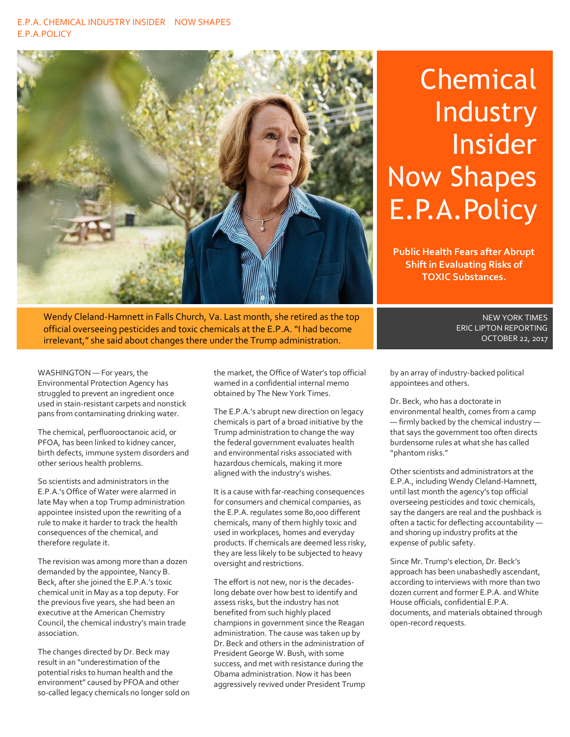

# Chemical **Industry** Insider Now Shapes E.P.A.Policy

**Public Health Fears after Abrupt Shift in Evaluating Risks of TOXIC Substances.**

Wendy Cleland-Hamnett in Falls Church, Va. Last month, she retired as the top official overseeing pesticides and toxic chemicals at the E.P.A. "I had become irrelevant," she said about changes there under the Trump administration.

WASHINGTON — For years, the Environmental Protection Agency has struggled to prevent an ingredient once used in stain-resistant carpets and nonstick pans from contaminating drinking water.

The chemical, perfluorooctanoic acid, or PFOA, has been linked to kidney cancer, birth defects, immune system disorders and other serious health problems.

So scientists and administrators in the E.P.A.'s Office of Water were alarmed in late May when a top Trump administration appointee insisted upon the rewriting of a rule to make it harder to track the health consequences of the chemical, and therefore regulate it.

The revision was among more than a dozen demanded by the appointee, Nancy B. Beck, after she joined the E.P.A.'s toxic chemical unit in May as a top deputy. For the previous five years, she had been an executive at the American Chemistry Council, the chemical industry's main trade association.

The changes directed by Dr. Beck may result in an "underestimation of the potential risks to human health and the environment" caused by PFOA and other so-called legacy chemicals no longer sold on the market, the Office of Water's top official warned in a confidential internal memo obtained by The New York Times.

The E.P.A.'s abrupt new direction on legacy chemicals is part of a broad initiative by the Trump administration to change the way the federal government evaluates health and environmental risks associated with hazardous chemicals, making it more aligned with the industry's wishes.

It is a cause with far-reaching consequences for consumers and chemical companies, as the E.P.A. regulates some 80,000 different chemicals, many of them highly toxic and used in workplaces, homes and everyday products. If chemicals are deemed less risky, they are less likely to be subjected to heavy oversight and restrictions.

The effort is not new, nor is the decadeslong debate over how best to identify and assess risks, but the industry has not benefited from such highly placed champions in government since the Reagan administration. The cause was taken up by Dr. Beck and others in the administration of President George W. Bush, with some success, and met with resistance during the Obama administration. Now it has been aggressively revived under President Trump

NEW YORK TIMES ERIC LIPTON REPORTING OCTOBER 22, 2017

by an array of industry-backed political appointees and others.

— firmly backed by the chemical industry —<br>that says the government too often directs Dr. Beck, who has a doctorate in environmental health, comes from a camp that says the government too often directs burdensome rules at what she has called "phantom risks."

Other scientists and administrators at the E.P.A., including Wendy Cleland-Hamnett, until last month the agency's top official overseeing pesticides and toxic chemicals, say the dangers are real and the pushback is often a tactic for deflecting accountability and shoring up industry profits at the expense of public safety.

Since Mr. Trump's election, Dr. Beck's approach has been unabashedly ascendant, according to interviews with more than two dozen current and former E.P.A. and White House officials, confidential E.P.A. documents, and materials obtained through open-record requests.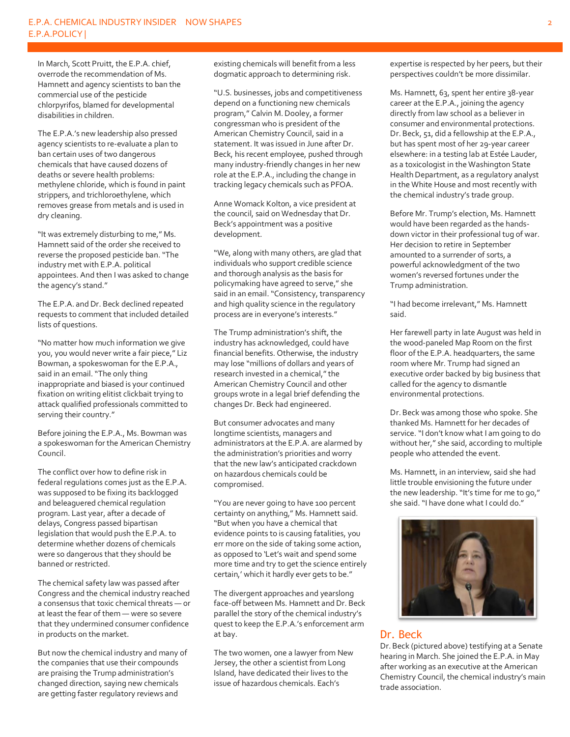In March, Scott Pruitt, the E.P.A. chief, overrode the recommendation of Ms. Hamnett and agency scientists to ban the commercial use of the pesticide chlorpyrifos, blamed for developmental disabilities in children.

The E.P.A.'s new leadership also pressed agency scientists to re-evaluate a plan to ban certain uses of two dangerous chemicals that have caused dozens of deaths or severe health problems: methylene chloride, which is found in paint strippers, and trichloroethylene, which removes grease from metals and is used in dry cleaning.

"It was extremely disturbing to me," Ms. Hamnett said of the order she received to reverse the proposed pesticide ban. "The industry met with E.P.A. political appointees. And then I was asked to change the agency's stand."

The E.P.A. and Dr. Beck declined repeated requests to comment that included detailed lists of questions.

"No matter how much information we give you, you would never write a fair piece," Liz Bowman, a spokeswoman for the E.P.A., said in an email. "The only thing inappropriate and biased is your continued fixation on writing elitist clickbait trying to attack qualified professionals committed to serving their country."

Before joining the E.P.A., Ms. Bowman was a spokeswoman for the American Chemistry Council.

The conflict over how to define risk in federal regulations comes just as the E.P.A. was supposed to be fixing its backlogged and beleaguered chemical regulation program. Last year, after a decade of delays, Congress passed bipartisan legislation that would push the E.P.A. to determine whether dozens of chemicals were so dangerous that they should be banned or restricted.

The chemical safety law was passed after Congress and the chemical industry reached a consensus that toxic chemical threats — or at least the fear of them — were so severe that they undermined consumer confidence in products on the market.

But now the chemical industry and many of the companies that use their compounds are praising the Trump administration's changed direction, saying new chemicals are getting faster regulatory reviews and

existing chemicals will benefit from a less dogmatic approach to determining risk.

"U.S. businesses, jobs and competitiveness depend on a functioning new chemicals program," Calvin M. Dooley, a former congressman who is president of the American Chemistry Council, said in a statement. It was issued in June after Dr. Beck, his recent employee, pushed through many industry-friendly changes in her new role at the E.P.A., including the change in tracking legacy chemicals such as PFOA.

Anne Womack Kolton, a vice president at the council, said on Wednesday that Dr. Beck's appointment was a positive development.

"We, along with many others, are glad that individuals who support credible science and thorough analysis as the basis for policymaking have agreed to serve," she said in an email. "Consistency, transparency and high quality science in the regulatory process are in everyone's interests."

The Trump administration's shift, the industry has acknowledged, could have financial benefits. Otherwise, the industry may lose "millions of dollars and years of research invested in a chemical," the American Chemistry Council and other groups wrote in a legal brief defending the changes Dr. Beck had engineered.

But consumer advocates and many longtime scientists, managers and administrators at the E.P.A. are alarmed by the administration's priorities and worry that the new law's anticipated crackdown on hazardous chemicals could be compromised.

"You are never going to have 100 percent certainty on anything," Ms. Hamnett said. "But when you have a chemical that evidence points to is causing fatalities, you err more on the side of taking some action, as opposed to 'Let's wait and spend some more time and try to get the science entirely certain,' which it hardly ever gets to be."

The divergent approaches and yearslong face-off between Ms. Hamnett and Dr. Beck parallel the story of the chemical industry's quest to keep the E.P.A.'s enforcement arm at bay.

The two women, one a lawyer from New Jersey, the other a scientist from Long Island, have dedicated their lives to the issue of hazardous chemicals. Each's

expertise is respected by her peers, but their perspectives couldn't be more dissimilar.

Ms. Hamnett, 63, spent her entire 38-year career at the E.P.A., joining the agency directly from law school as a believer in consumer and environmental protections. Dr. Beck, 51, did a fellowship at the E.P.A., but has spent most of her 29-year career elsewhere: in a testing lab at Estée Lauder, as a toxicologist in the Washington State Health Department, as a regulatory analyst in the White House and most recently with the chemical industry's trade group.

Before Mr. Trump's election, Ms. Hamnett would have been regarded as the handsdown victor in their professional tug of war. Her decision to retire in September amounted to a surrender of sorts, a powerful acknowledgment of the two women's reversed fortunes under the Trump administration.

"I had become irrelevant," Ms. Hamnett said.

Her farewell party in late August was held in the wood-paneled Map Room on the first floor of the E.P.A. headquarters, the same room where Mr. Trump had signed an executive order backed by big business that called for the agency to dismantle environmental protections.

Dr. Beck was among those who spoke. She thanked Ms. Hamnett for her decades of service. "I don't know what I am going to do without her," she said, according to multiple people who attended the event.

Ms. Hamnett, in an interview, said she had little trouble envisioning the future under the new leadership. "It's time for me to go," she said. "I have done what I could do."



#### Dr. Beck

Dr. Beck (pictured above) testifying at a Senate hearing in March. She joined the E.P.A. in May after working as an executive at the American Chemistry Council, the chemical industry's main trade association.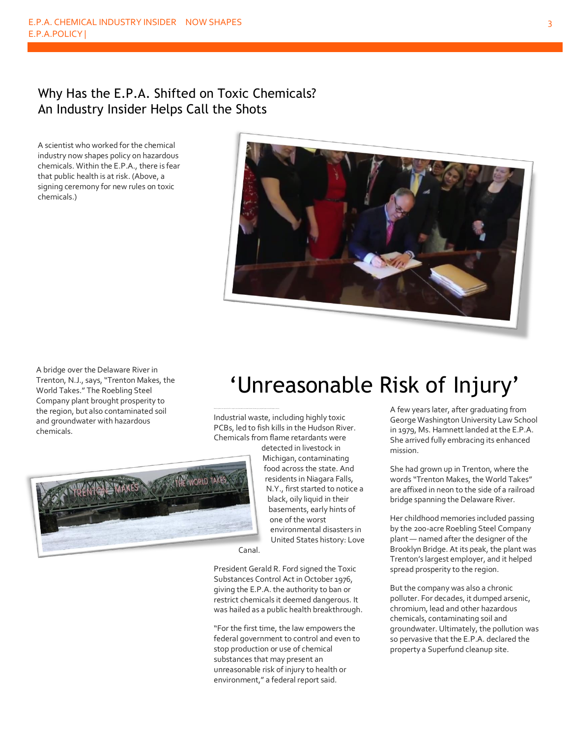### Why Has the E.P.A. Shifted on Toxic Chemicals? An Industry Insider Helps Call the Shots

A scientist who worked for the chemical industry now shapes policy on hazardous chemicals. Within the E.P.A., there is fear that public health is at risk. (Above, a signing ceremony for new rules on toxic chemicals.)



'Unreasonable Risk of Injury'

A bridge over the Delaware River in Trenton, N.J., says, "Trenton Makes, the World Takes." The Roebling Steel Company plant brought prosperity to the region, but also contaminated soil and groundwater with hazardous chemicals.





Canal.

President Gerald R. Ford signed the Toxic Substances Control Act in October 1976, giving the E.P.A. the authority to ban or restrict chemicals it deemed dangerous. It was hailed as a public health breakthrough.

"For the first time, the law empowers the federal government to control and even to stop production or use of chemical substances that may present an unreasonable risk of injury to health or environment," a federal report said.

A few years later, after graduating from George Washington University Law School in 1979, Ms. Hamnett landed at the E.P.A. She arrived fully embracing its enhanced mission.

She had grown up in Trenton, where the words "Trenton Makes, the World Takes" are affixed in neon to the side of a railroad bridge spanning the Delaware River.

Her childhood memories included passing by the 200-acre Roebling Steel Company plant — named after the designer of the Brooklyn Bridge. At its peak, the plant was Trenton's largest employer, and it helped spread prosperity to the region.

But the company was also a chronic polluter. For decades, it dumped arsenic, chromium, lead and other hazardous chemicals, contaminating soil and groundwater. Ultimately, the pollution was so pervasive that the E.P.A. declared the property a Superfund cleanup site.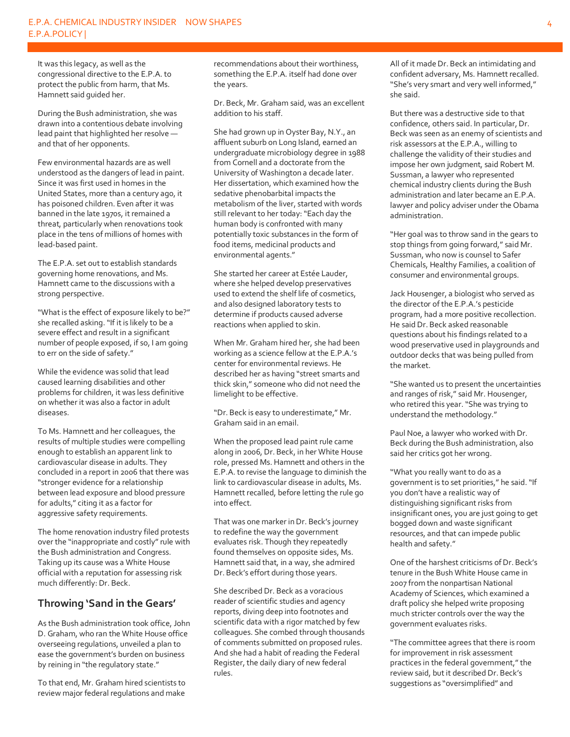It was this legacy, as well as the congressional directive to the E.P.A. to protect the public from harm, that Ms. Hamnett said guided her.

During the Bush administration, she was drawn into a contentious debate involving lead paint that highlighted her resolve and that of her opponents.

Few environmental hazards are as well understood as the dangers of lead in paint. Since it was first used in homes in the United States, more than a century ago, it has poisoned children. Even after it was banned in the late 1970s, it remained a threat, particularly when renovations took place in the tens of millions of homes with lead-based paint.

The E.P.A. set out to establish standards governing home renovations, and Ms. Hamnett came to the discussions with a strong perspective.

"What is the effect of exposure likely to be?" she recalled asking. "If it is likely to be a severe effect and result in a significant number of people exposed, if so, I am going to err on the side of safety."

While the evidence was solid that lead caused learning disabilities and other problems for children, it was less definitive on whether it was also a factor in adult diseases.

To Ms. Hamnett and her colleagues, the results of multiple studies were compelling enough to establish an apparent link to cardiovascular disease in adults. They concluded in a report in 2006 that there was "stronger evidence for a relationship between lead exposure and blood pressure for adults," citing it as a factor for aggressive safety requirements.

The home renovation industry filed protests over the "inappropriate and costly" rule with the Bush administration and Congress. Taking up its cause was a White House official with a reputation for assessing risk much differently: Dr. Beck.

#### **Throwing 'Sand in the Gears'**

As the Bush administration took office, John D. Graham, who ran the White House office overseeing regulations, unveiled a plan to ease the government's burden on business by reining in "the regulatory state."

To that end, Mr. Graham hired scientists to review major federal regulations and make

recommendations about their worthiness, something the E.P.A. itself had done over the years.

Dr. Beck, Mr. Graham said, was an excellent addition to his staff.

She had grown up in Oyster Bay, N.Y., an affluent suburb on Long Island, earned an undergraduate microbiology degree in 1988 from Cornell and a doctorate from the University of Washington a decade later. Her dissertation, which examined how the sedative phenobarbital impacts the metabolism of the liver, started with words still relevant to her today: "Each day the human body is confronted with many potentially toxic substances in the form of food items, medicinal products and environmental agents."

She started her career at Estée Lauder, where she helped develop preservatives used to extend the shelf life of cosmetics, and also designed laboratory tests to determine if products caused adverse reactions when applied to skin.

When Mr. Graham hired her, she had been working as a science fellow at the E.P.A.'s center for environmental reviews. He described her as having "street smarts and thick skin," someone who did not need the limelight to be effective.

"Dr. Beck is easy to underestimate," Mr. Graham said in an email.

When the proposed lead paint rule came along in 2006, Dr. Beck, in her White House role, pressed Ms. Hamnett and others in the E.P.A. to revise the language to diminish the link to cardiovascular disease in adults, Ms. Hamnett recalled, before letting the rule go into effect.

That was one marker in Dr. Beck's journey to redefine the way the government evaluates risk. Though they repeatedly found themselves on opposite sides, Ms. Hamnett said that, in a way, she admired Dr. Beck's effort during those years.

She described Dr. Beck as a voracious reader of scientific studies and agency reports, diving deep into footnotes and scientific data with a rigor matched by few colleagues. She combed through thousands of comments submitted on proposed rules. And she had a habit of reading the Federal Register, the daily diary of new federal rules.

All of it made Dr. Beck an intimidating and confident adversary, Ms. Hamnett recalled. "She's very smart and very well informed," she said.

But there was a destructive side to that confidence, others said. In particular, Dr. Beck was seen as an enemy of scientists and risk assessors at the E.P.A., willing to challenge the validity of their studies and impose her own judgment, said Robert M. Sussman, a lawyer who represented chemical industry clients during the Bush administration and later became an E.P.A. lawyer and policy adviser under the Obama administration.

"Her goal was to throw sand in the gears to stop things from going forward," said Mr. Sussman, who now is counsel to Safer Chemicals, Healthy Families, a coalition of consumer and environmental groups.

Jack Housenger, a biologist who served as the director of the E.P.A.'s pesticide program, had a more positive recollection. He said Dr. Beck asked reasonable questions about his findings related to a wood preservative used in playgrounds and outdoor decks that was being pulled from the market.

"She wanted us to present the uncertainties and ranges of risk," said Mr. Housenger, who retired this year. "She was trying to understand the methodology."

Paul Noe, a lawyer who worked with Dr. Beck during the Bush administration, also said her critics got her wrong.

"What you really want to do as a government is to set priorities," he said. "If you don't have a realistic way of distinguishing significant risks from insignificant ones, you are just going to get bogged down and waste significant resources, and that can impede public health and safety."

One of the harshest criticisms of Dr. Beck's tenure in the Bush White House came in 2007 from the nonpartisan National Academy of Sciences, which examined a draft policy she helped write proposing much stricter controls over the way the government evaluates risks.

"The committee agrees that there is room for improvement in risk assessment practices in the federal government," the review said, but it described Dr. Beck's suggestions as "oversimplified" and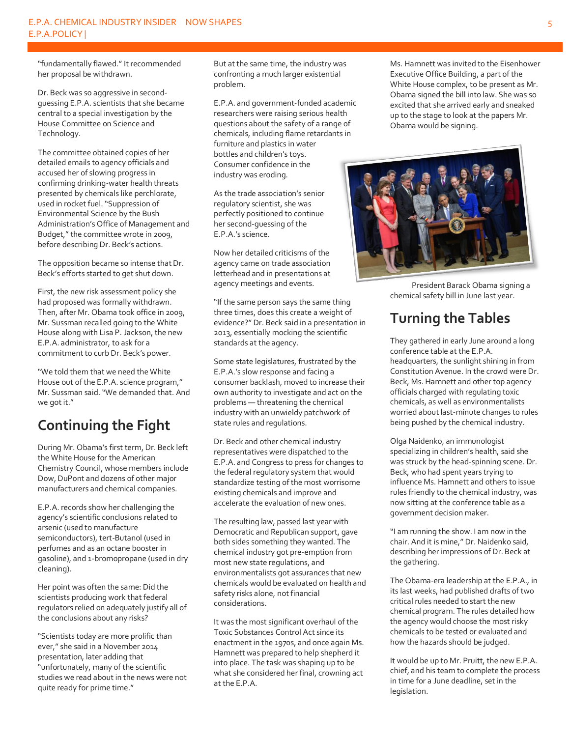"fundamentally flawed." It recommended her proposal be withdrawn.

Dr. Beck was so aggressive in secondguessing E.P.A. scientists that she became central to a special investigation by the House Committee on Science and Technology.

The committee obtained copies of her detailed emails to agency officials and accused her of slowing progress in confirming drinking-water health threats presented by chemicals like perchlorate, used in rocket fuel. "Suppression of Environmental Science by the Bush Administration's Office of Management and Budget," the committee wrote in 2009, before describing Dr. Beck's actions.

The opposition became so intense that Dr. Beck's efforts started to get shut down.

First, the new risk assessment policy she had proposed was formally withdrawn. Then, after Mr. Obama took office in 2009, Mr. Sussman recalled going to the White House along with Lisa P. Jackson, the new E.P.A. administrator, to ask for a commitment to curb Dr. Beck's power.

"We told them that we need the White House out of the E.P.A. science program," Mr. Sussman said. "We demanded that. And we got it."

### **Continuing the Fight**

During Mr. Obama's first term, Dr. Beck left the White House for the American Chemistry Council, whose members include Dow, DuPont and dozens of other major manufacturers and chemical companies.

E.P.A. records show her challenging the agency's scientific conclusions related to arsenic (used to manufacture semiconductors), tert-Butanol (used in perfumes and as an octane booster in gasoline), and 1-bromopropane (used in dry cleaning).

Her point was often the same: Did the scientists producing work that federal regulators relied on adequately justify all of the conclusions about any risks?

"Scientists today are more prolific than ever," she said in a November 2014 presentation, later adding that "unfortunately, many of the scientific studies we read about in the news were not quite ready for prime time."

But at the same time, the industry was confronting a much larger existential problem.

E.P.A. and government-funded academic researchers were raising serious health questions about the safety of a range of chemicals, including flame retardants in furniture and plastics in water bottles and children's toys. Consumer confidence in the industry was eroding.

As the trade association's senior regulatory scientist, she was perfectly positioned to continue her second-guessing of the E.P.A.'s science.

Now her detailed criticisms of the agency came on trade association letterhead and in presentations at agency meetings and events.

"If the same person says the same thing three times, does this create a weight of evidence?" Dr. Beck said in a presentation in 2013, essentially mocking the scientific standards at the agency.

Some state legislatures, frustrated by the E.P.A.'s slow response and facing a consumer backlash, moved to increase their own authority to investigate and act on the problems — threatening the chemical industry with an unwieldy patchwork of state rules and regulations.

Dr. Beck and other chemical industry representatives were dispatched to the E.P.A. and Congress to press for changes to the federal regulatory system that would standardize testing of the most worrisome existing chemicals and improve and accelerate the evaluation of new ones.

The resulting law, passed last year with Democratic and Republican support, gave both sides something they wanted. The chemical industry got pre-emption from most new state regulations, and environmentalists got assurances that new chemicals would be evaluated on health and safety risks alone, not financial considerations.

It was the most significant overhaul of the Toxic Substances Control Act since its enactment in the 1970s, and once again Ms. Hamnett was prepared to help shepherd it into place. The task was shaping up to be what she considered her final, crowning act at the E.P.A.

Ms. Hamnett was invited to the Eisenhower Executive Office Building, a part of the White House complex, to be present as Mr. Obama signed the bill into law. She was so excited that she arrived early and sneaked up to the stage to look at the papers Mr. Obama would be signing.



President Barack Obama signing a chemical safety bill in June last year.

### **Turning the Tables**

They gathered in early June around a long conference table at the E.P.A. headquarters, the sunlight shining in from Constitution Avenue. In the crowd were Dr. Beck, Ms. Hamnett and other top agency officials charged with regulating toxic chemicals, as well as environmentalists worried about last-minute changes to rules being pushed by the chemical industry.

Olga Naidenko, an immunologist specializing in children's health, said she was struck by the head-spinning scene. Dr. Beck, who had spent years trying to influence Ms. Hamnett and others to issue rules friendly to the chemical industry, was now sitting at the conference table as a government decision maker.

"I am running the show. I am now in the chair. And it is mine," Dr. Naidenko said, describing her impressions of Dr. Beck at the gathering.

The Obama-era leadership at the E.P.A., in its last weeks, had published drafts of two critical rules needed to start the new chemical program. The rules detailed how the agency would choose the most risky chemicals to be tested or evaluated and how the hazards should be judged.

It would be up to Mr. Pruitt, the new E.P.A. chief, and his team to complete the process in time for a June deadline, set in the legislation.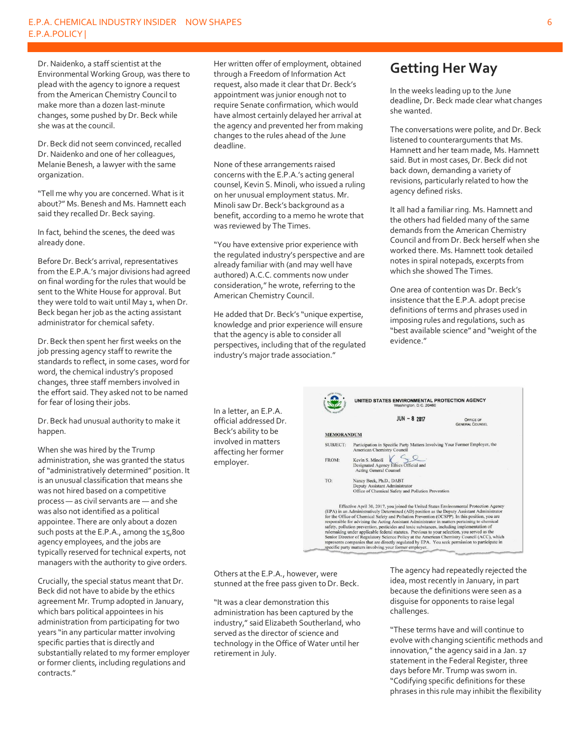Dr. Naidenko, a staff scientist at the Environmental Working Group, was there to plead with the agency to ignore a request from the American Chemistry Council to make more than a dozen last-minute changes, some pushed by Dr. Beck while she was at the council.

Dr. Beck did not seem convinced, recalled Dr. Naidenko and one of her colleagues, Melanie Benesh, a lawyer with the same organization.

"Tell me why you are concerned. What is it about?" Ms. Benesh and Ms. Hamnett each said they recalled Dr. Beck saying.

In fact, behind the scenes, the deed was already done.

Before Dr. Beck's arrival, representatives from the E.P.A.'s major divisions had agreed on final wording for the rules that would be sent to the White House for approval. But they were told to wait until May 1, when Dr. Beck began her job as the acting assistant administrator for chemical safety.

Dr. Beck then spent her first weeks on the job pressing agency staff to rewrite the standards to reflect, in some cases, word for word, the chemical industry's proposed changes, three staff members involved in the effort said. They asked not to be named for fear of losing their jobs.

Dr. Beck had unusual authority to make it happen.

When she was hired by the Trump administration, she was granted the status of "administratively determined" position. It is an unusual classification that means she was not hired based on a competitive process — as civil servants are — and she was also not identified as a political appointee. There are only about a dozen such posts at the E.P.A., among the 15,800 agency employees, and the jobs are typically reserved for technical experts, not managers with the authority to give orders.

Crucially, the special status meant that Dr. Beck did not have to abide by the ethics agreement Mr. Trump adopted in January, which bars political appointees in his administration from participating for two years "in any particular matter involving specific parties that is directly and substantially related to my former employer or former clients, including regulations and contracts."

Her written offer of employment, obtained through a Freedom of Information Act request, also made it clear that Dr. Beck's appointment was junior enough not to require Senate confirmation, which would have almost certainly delayed her arrival at the agency and prevented her from making changes to the rules ahead of the June deadline.

None of these arrangements raised concerns with the E.P.A.'s acting general counsel, Kevin S. Minoli, who issued a ruling on her unusual employment status. Mr. Minoli saw Dr. Beck's background as a benefit, according to a memo he wrote that was reviewed by The Times.

"You have extensive prior experience with the regulated industry's perspective and are already familiar with (and may well have authored) A.C.C. comments now under consideration," he wrote, referring to the American Chemistry Council.

He added that Dr. Beck's "unique expertise, knowledge and prior experience will ensure that the agency is able to consider all perspectives, including that of the regulated industry's major trade association."

In a letter, an E.P.A. official addressed Dr. Beck's ability to be involved in matters affecting her former employer.

### **Getting Her Way**

In the weeks leading up to the June deadline, Dr. Beck made clear what changes she wanted.

The conversations were polite, and Dr. Beck listened to counterarguments that Ms. Hamnett and her team made, Ms. Hamnett said. But in most cases, Dr. Beck did not back down, demanding a variety of revisions, particularly related to how the agency defined risks.

It all had a familiar ring. Ms. Hamnett and the others had fielded many of the same demands from the American Chemistry Council and from Dr. Beck herself when she worked there. Ms. Hamnett took detailed notes in spiral notepads, excerpts from which she showed The Times.

One area of contention was Dr. Beck's insistence that the E.P.A. adopt precise definitions of terms and phrases used in imposing rules and regulations, such as "best available science" and "weight of the evidence."

|                   | UNITED STATES ENVIRONMENTAL PROTECTION AGENCY<br>Washington, D.C. 20460                                                                                                                                                                                                                                                                                                                                                                                                                                                                                                                                                                                                                                                                                                                                                                         |                                     |
|-------------------|-------------------------------------------------------------------------------------------------------------------------------------------------------------------------------------------------------------------------------------------------------------------------------------------------------------------------------------------------------------------------------------------------------------------------------------------------------------------------------------------------------------------------------------------------------------------------------------------------------------------------------------------------------------------------------------------------------------------------------------------------------------------------------------------------------------------------------------------------|-------------------------------------|
|                   | $JUN - 8$ 2017                                                                                                                                                                                                                                                                                                                                                                                                                                                                                                                                                                                                                                                                                                                                                                                                                                  | OFFICE OF<br><b>GENERAL COUNSEL</b> |
| <b>MEMORANDUM</b> |                                                                                                                                                                                                                                                                                                                                                                                                                                                                                                                                                                                                                                                                                                                                                                                                                                                 |                                     |
| <b>SUBJECT:</b>   | Participation in Specific Party Matters Involving Your Former Employer, the<br>American Chemistry Council                                                                                                                                                                                                                                                                                                                                                                                                                                                                                                                                                                                                                                                                                                                                       |                                     |
| <b>FROM:</b>      | Kevin S. Minoli<br>Designated Agency Ethics Official and<br>Acting General Counsel                                                                                                                                                                                                                                                                                                                                                                                                                                                                                                                                                                                                                                                                                                                                                              |                                     |
| TO:               | Nancy Beck, Ph.D., DABT<br>Deputy Assistant Administrator<br>Office of Chemical Safety and Pollution Prevention                                                                                                                                                                                                                                                                                                                                                                                                                                                                                                                                                                                                                                                                                                                                 |                                     |
|                   | Effective April 30, 2017, you joined the United States Environmental Protection Agency<br>(EPA) in an Administratively Determined (AD) position as the Deputy Assistant Administrator<br>for the Office of Chemical Safety and Pollution Prevention (OCSPP). In this position, you are<br>responsible for advising the Acting Assistant Administrator in matters pertaining to chemical<br>safety, pollution prevention, pesticides and toxic substances, including implementation of<br>rulemaking under applicable federal statutes. Previous to your selection, you served as the<br>Senior Director of Regulatory Science Policy at the American Chemistry Council (ACC), which<br>represents companies that are directly regulated by EPA. You seek permission to participate in<br>specific party matters involving your former employer. |                                     |

Others at the E.P.A., however, were stunned at the free pass given to Dr. Beck.

"It was a clear demonstration this administration has been captured by the industry," said Elizabeth Southerland, who served as the director of science and technology in the Office of Water until her retirement in July.

The agency had repeatedly rejected the idea, most recently in January, in part because the definitions were seen as a disguise for opponents to raise legal challenges.

"These terms have and will continue to evolve with changing scientific methods and innovation," the agency said in a Jan. 17 statement in the Federal Register, three days before Mr. Trump was sworn in. "Codifying specific definitions for these phrases in this rule may inhibit the flexibility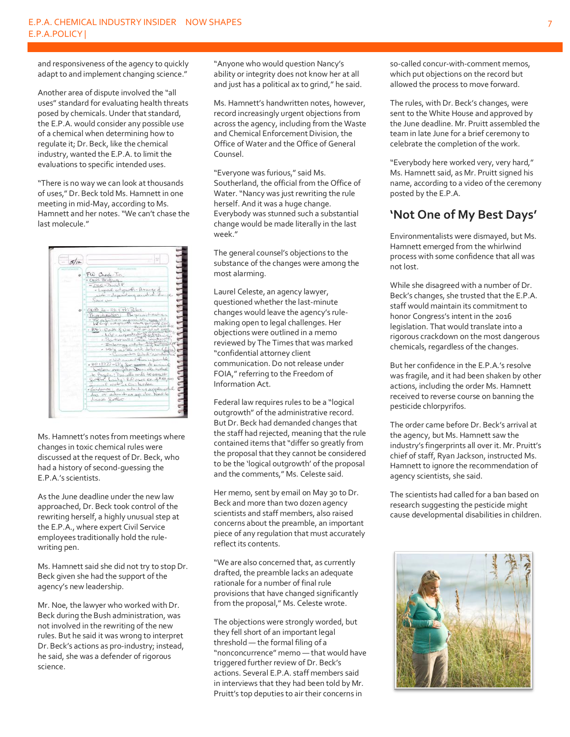and responsiveness of the agency to quickly adapt to and implement changing science."

Another area of dispute involved the "all uses" standard for evaluating health threats posed by chemicals. Under that standard, the E.P.A. would consider any possible use of a chemical when determining how to regulate it; Dr. Beck, like the chemical industry, wanted the E.P.A. to limit the evaluations to specific intended uses.

"There is no way we can look at thousands of uses," Dr. Beck told Ms. Hamnett in one meeting in mid-May, according to Ms. Hamnett and her notes. "We can't chase the last molecule."

| 5/12             |                                                                           |
|------------------|---------------------------------------------------------------------------|
|                  |                                                                           |
| $\circ$ $\vdash$ | FW Check-In                                                               |
|                  | · CRIB Bridge                                                             |
|                  | $= 0.60 - 0.000$                                                          |
|                  | · Logist estimate - Arang<br>٠                                            |
|                  | isk - depending a<br>Save ver<br>٠                                        |
|                  |                                                                           |
|                  | $1010$ $Re_1$ $Re_1$ $Re_1$ $Re_2$                                        |
|                  | Primitability: Premierinant                                               |
|                  | - For defendant unpressible, asset<br>×                                   |
|                  |                                                                           |
|                  | RE: Cash film in                                                          |
|                  | - Life-uppertunity                                                        |
|                  | - Saterusson<br>Interage collabor                                         |
|                  | - they well with determination)                                           |
|                  | - Campaign Dilector condensation                                          |
|                  | - Will american them in promise                                           |
|                  | $-8013777 - 16$ a few services of mounts                                  |
|                  | Water examplion Dominic bushed                                            |
|                  | to Angela ; Daniells miles to agreat                                      |
|                  | gother Laily E.O over ex. 4850,000<br>٠                                   |
|                  | around cont us can barden.                                                |
|                  | · Girdance, can estail as spokuntal<br>doc or schmit as soft doc. Nout to |
|                  | discot Sether                                                             |
|                  |                                                                           |
|                  |                                                                           |

Ms. Hamnett's notes from meetings where changes in toxic chemical rules were discussed at the request of Dr. Beck, who had a history of second-guessing the E.P.A.'s scientists.

As the June deadline under the new law approached, Dr. Beck took control of the rewriting herself, a highly unusual step at the E.P.A., where expert Civil Service employees traditionally hold the rulewriting pen.

Ms. Hamnett said she did not try to stop Dr. Beck given she had the support of the agency's new leadership.

Mr. Noe, the lawyer who worked with Dr. Beck during the Bush administration, was not involved in the rewriting of the new rules. But he said it was wrong to interpret Dr. Beck's actions as pro-industry; instead, he said, she was a defender of rigorous science.

"Anyone who would question Nancy's ability or integrity does not know her at all and just has a political ax to grind," he said.

Ms. Hamnett's handwritten notes, however, record increasingly urgent objections from across the agency, including from the Waste and Chemical Enforcement Division, the Office of Water and the Office of General Counsel.

"Everyone was furious," said Ms. Southerland, the official from the Office of Water. "Nancy was just rewriting the rule herself. And it was a huge change. Everybody was stunned such a substantial change would be made literally in the last week."

The general counsel's objections to the substance of the changes were among the most alarming.

Laurel Celeste, an agency lawyer, questioned whether the last-minute changes would leave the agency's rulemaking open to legal challenges. Her objections were outlined in a memo reviewed by The Times that was marked "confidential attorney client communication. Do not release under FOIA," referring to the Freedom of Information Act.

Federal law requires rules to be a "logical outgrowth" of the administrative record. But Dr. Beck had demanded changes that the staff had rejected, meaning that the rule contained items that "differ so greatly from the proposal that they cannot be considered to be the 'logical outgrowth' of the proposal and the comments," Ms. Celeste said.

Her memo, sent by email on May 30 to Dr. Beck and more than two dozen agency scientists and staff members, also raised concerns about the preamble, an important piece of any regulation that must accurately reflect its contents.

"We are also concerned that, as currently drafted, the preamble lacks an adequate rationale for a number of final rule provisions that have changed significantly from the proposal," Ms. Celeste wrote.

The objections were strongly worded, but they fell short of an important legal threshold — the formal filing of a "nonconcurrence" memo — that would have triggered further review of Dr. Beck's actions. Several E.P.A. staff members said in interviews that they had been told by Mr. Pruitt's top deputies to air their concerns in

so-called concur-with-comment memos, which put objections on the record but allowed the process to move forward.

The rules, with Dr. Beck's changes, were sent to the White House and approved by the June deadline. Mr. Pruitt assembled the team in late June for a brief ceremony to celebrate the completion of the work.

"Everybody here worked very, very hard," Ms. Hamnett said, as Mr. Pruitt signed his name, according to a video of the ceremony posted by the E.P.A.

### **'Not One of My Best Days'**

Environmentalists were dismayed, but Ms. Hamnett emerged from the whirlwind process with some confidence that all was not lost.

While she disagreed with a number of Dr. Beck's changes, she trusted that the E.P.A. staff would maintain its commitment to honor Congress's intent in the 2016 legislation. That would translate into a rigorous crackdown on the most dangerous chemicals, regardless of the changes.

But her confidence in the E.P.A.'s resolve was fragile, and it had been shaken by other actions, including the order Ms. Hamnett received to reverse course on banning the pesticide chlorpyrifos.

The order came before Dr. Beck's arrival at the agency, but Ms. Hamnett saw the industry's fingerprints all over it. Mr. Pruitt's chief of staff, Ryan Jackson, instructed Ms. Hamnett to ignore the recommendation of agency scientists, she said.

The scientists had called for a ban based on research suggesting the pesticide might cause developmental disabilities in children.

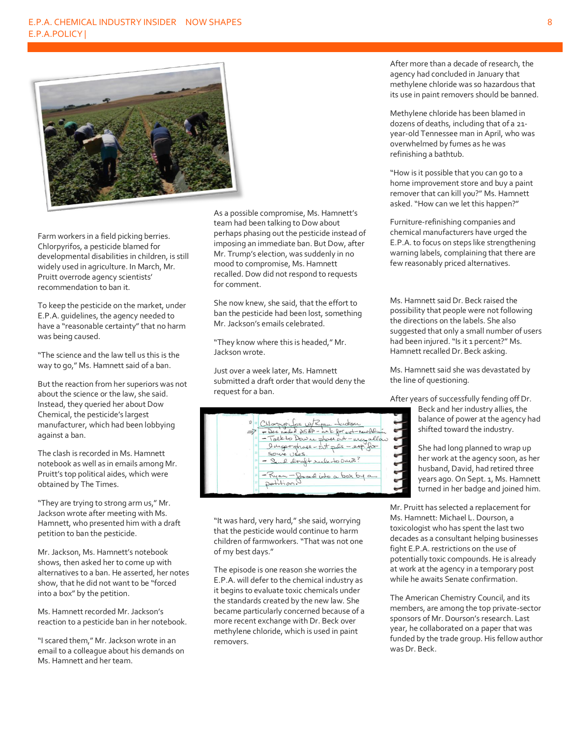#### E.P.A. CHEMICAL INDUSTRY INSIDER NOW SHAPES E.P.A.POLICY |



Farm workers in a field picking berries. Chlorpyrifos, a pesticide blamed for developmental disabilities in children, is still widely used in agriculture. In March, Mr. Pruitt overrode agency scientists' recommendation to ban it.

To keep the pesticide on the market, under E.P.A. guidelines, the agency needed to have a "reasonable certainty" that no harm was being caused.

"The science and the law tell us this is the way to go," Ms. Hamnett said of a ban.

But the reaction from her superiors was not about the science or the law, she said. Instead, they queried her about Dow Chemical, the pesticide's largest manufacturer, which had been lobbying against a ban.

The clash is recorded in Ms. Hamnett notebook as well as in emails among Mr. Pruitt's top political aides, which were obtained by The Times.

"They are trying to strong arm us," Mr. Jackson wrote after meeting with Ms. Hamnett, who presented him with a draft petition to ban the pesticide.

Mr. Jackson, Ms. Hamnett's notebook shows, then asked her to come up with alternatives to a ban. He asserted, her notes show, that he did not want to be "forced into a box" by the petition.

Ms. Hamnett recorded Mr. Jackson's reaction to a pesticide ban in her notebook.

"I scared them," Mr. Jackson wrote in an email to a colleague about his demands on Ms. Hamnett and her team.

As a possible compromise, Ms. Hamnett's team had been talking to Dow about perhaps phasing out the pesticide instead of imposing an immediate ban. But Dow, after Mr. Trump's election, was suddenly in no mood to compromise, Ms. Hamnett recalled. Dow did not respond to requests for comment.

She now knew, she said, that the effort to ban the pesticide had been lost, something Mr. Jackson's emails celebrated.

"They know where this is headed," Mr. Jackson wrote.

Just over a week later, Ms. Hamnett submitted a draft order that would deny the request for a ban.



"It was hard, very hard," she said, worrying that the pesticide would continue to harm children of farmworkers. "That was not one of my best days."

The episode is one reason she worries the E.P.A. will defer to the chemical industry as it begins to evaluate toxic chemicals under the standards created by the new law. She became particularly concerned because of a more recent exchange with Dr. Beck over methylene chloride, which is used in paint removers.

After more than a decade of research, the agency had concluded in January that methylene chloride was so hazardous that its use in paint removers should be banned.

Methylene chloride has been blamed in dozens of deaths, including that of a 21 year-old Tennessee man in April, who was overwhelmed by fumes as he was refinishing a bathtub.

"How is it possible that you can go to a home improvement store and buy a paint remover that can kill you?" Ms. Hamnett asked. "How can we let this happen?"

Furniture-refinishing companies and chemical manufacturers have urged the E.P.A. to focus on steps like strengthening warning labels, complaining that there are few reasonably priced alternatives.

Ms. Hamnett said Dr. Beck raised the possibility that people were not following the directions on the labels. She also suggested that only a small number of users had been injured. "Is it 1 percent?" Ms. Hamnett recalled Dr. Beck asking.

Ms. Hamnett said she was devastated by the line of questioning.

After years of successfully fending off Dr.

Beck and her industry allies, the balance of power at the agency had shifted toward the industry.

She had long planned to wrap up her work at the agency soon, as her husband, David, had retired three years ago. On Sept. 1, Ms. Hamnett turned in her badge and joined him.

Mr. Pruitt has selected a replacement for Ms. Hamnett: Michael L. Dourson, a toxicologist who has spent the last two decades as a consultant helping businesses fight E.P.A. restrictions on the use of potentially toxic compounds. He is already at work at the agency in a temporary post while he awaits Senate confirmation.

The American Chemistry Council, and its members, are among the top private-sector sponsors of Mr. Dourson's research. Last year, he collaborated on a paper that was funded by the trade group. His fellow author was Dr. Beck.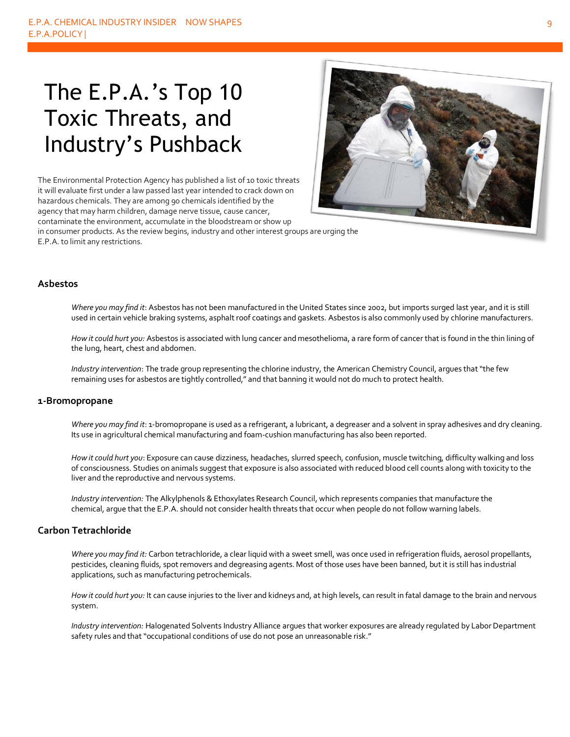## The E.P.A.'s Top 10 Toxic Threats, and Industry's Pushback

The Environmental Protection Agency has published a list of 10 toxic threats it will evaluate first under a law passed last year intended to crack down on hazardous chemicals. They are among 90 chemicals identified by the agency that may harm children, damage nerve tissue, cause cancer, contaminate the environment, accumulate in the bloodstream or show up in consumer products. As the review begins, industry and other interest groups are urging the E.P.A. to limit any restrictions.



#### **[Asbestos](https://www.epa.gov/assessing-and-managing-chemicals-under-tsca/risk-evaluation-asbestos-0)**

*[Where you may find it](https://www.documentcloud.org/documents/4113282-Use-and-Market-Reports-for-10-EPA-Priority.html#document/p1/a382687)*: Asbestos has not been manufactured in the United States since 2002, but [imports](https://minerals.usgs.gov/minerals/pubs/commodity/asbestos/mcs-2017-asbes.pdf) surged [last year,](http://www.asbestosdiseaseawareness.org/wp-content/uploads/2017/09/HTS-2524-ASBESTOS-2016-annual.pdf) and it is still used in certain vehicle braking systems, asphalt roof coatings and gaskets. Asbestos is also commonly used by [chlorine manufacturers.](https://www.bna.com/epa-asbestos-review-n57982076918/)

*How it could hurt you:* Asbestos is [associated with](https://www.epa.gov/asbestos/learn-about-asbestos) lung cancer and mesothelioma, a rare form of cancer that is found in the thin lining of the lung, heart, chest and abdomen.

*Industry intervention*: The trade group representing the chlorine industry, the American Chemistry Council, [argues](http://src.bna.com/iuL) that "the few remaining uses for asbestos are tightly controlled," and that banning it would not do much to protect health.

#### **[1-Bromopropane](https://www.epa.gov/assessing-and-managing-chemicals-under-tsca/risk-evaluation-1-bromopropane-1-bp)**

*[Where you may find it](https://www.documentcloud.org/documents/4113282-Use-and-Market-Reports-for-10-EPA-Priority.html#document/p42/a382688)*: 1-bromopropane is used as a refrigerant, a lubricant, a degreaser and a solvent in spray adhesives and dry cleaning. Its use in agricultural chemical manufacturing and foam-cushion manufacturing has also been reported.

*How it could hurt you*: [Exposure can cause](https://www.osha.gov/dts/hazardalerts/1bromopropane_hazard_alert.html) dizziness, headaches, slurred speech, confusion, muscle twitching, difficulty walking and loss of consciousness. Studies on animals suggest that exposure is also associated with reduced blood cell counts along with toxicity to the liver and the reproductive and nervous systems.

*Industry intervention:* The Alkylphenols & Ethoxylates Research Council, which represents companies that manufacture the chemical, [argue](https://www.regulations.gov/contentStreamer?documentId=EPA-HQ-OPPT-2016-0741-0023&attachmentNumber=1&contentType=pdf) that the E.P.A. should not consider health threats that occur when people do not follow warning labels.

#### **[Carbon Tetrachloride](https://www.epa.gov/assessing-and-managing-chemicals-under-tsca/risk-evaluation-carbon-tetrachloride)**

*[Where you may find it:](https://www.documentcloud.org/documents/4113282-Use-and-Market-Reports-for-10-EPA-Priority.html#document/p64/a382690)* Carbon tetrachloride, a clear liquid with a [sweet smell, was once used](https://www.atsdr.cdc.gov/substances/toxsubstance.asp?toxid=35) in refrigeration fluids, aerosol propellants, pesticides, cleaning fluids, spot removers and degreasing agents. Most of those uses have been banned, but it is still has industrial applications, such as manufacturing petrochemicals.

*How it could hurt you:* [It can cause](https://www.atsdr.cdc.gov/phs/phs.asp?id=194&tid=35) injuries to the liver and kidneys and, at high levels, can result in fatal damage to the brain and nervous system.

*Industry intervention:* Halogenated Solvents Industry Alliance [argues](https://www.regulations.gov/contentStreamer?documentId=EPA-HQ-OPPT-2016-0733-0013&attachmentNumber=2&contentType=pdf) that worker exposures are already regulated by Labor Department safety rules and that "occupational conditions of use do not pose an unreasonable risk."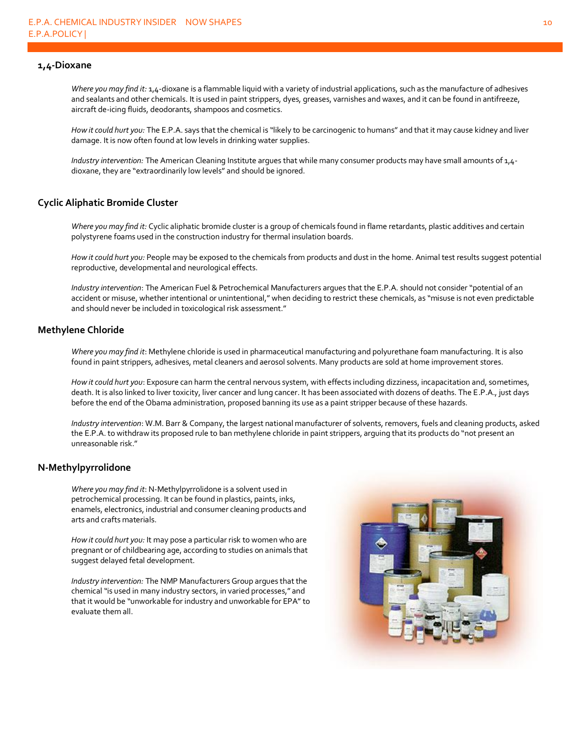#### **[1,4-Dioxane](https://www.epa.gov/assessing-and-managing-chemicals-under-tsca/risk-evaluation-14-dioxane)**

*[Where you may find it:](https://www.documentcloud.org/documents/4113282-Use-and-Market-Reports-for-10-EPA-Priority.html#document/p94/a382692)* 1,4-dioxane is a flammable liquid with a variety of industrial applications, such as the manufacture of adhesives and sealants and other chemicals. It is used in [paint strippers,](https://www.epa.gov/sites/production/files/2014-03/documents/ffrro_factsheet_contaminant_14-dioxane_january2014_final.pdf) dyes, greases, varnishes and waxes, and it can be found in antifreeze, aircraft de-icing fluids, deodorants, shampoos and cosmetics.

*How it could hurt you:* The E.P.A. says that the chemical is "likely to be carcinogenic to humans" and that it may cause kidney and liver damage. It is now often found at low levels in drinking water supplies.

*Industry intervention:* The American Cleaning Institute [argues](http://www.cleaninginstitute.org/assets/1/Page/ACI-Comments-14-dioxane.PDF) that while many consumer products may have small amounts of 1,4 dioxane, they are "extraordinarily low levels" and should be ignored.

#### **[Cyclic Aliphatic Bromide Cluster](https://www.epa.gov/assessing-and-managing-chemicals-under-tsca/risk-evaulation-cyclic-aliphatic-bromide-cluster-hbcd)**

*[Where you may find it:](https://www.documentcloud.org/documents/4113282-Use-and-Market-Reports-for-10-EPA-Priority.html#document/p128/a382693)* Cyclic aliphatic bromide cluster is a group of chemicals found in flame retardants, plastic additives and certain polystyrene foams used in the construction industry for thermal insulation boards.

*[How it could hurt you:](https://www.epa.gov/assessing-and-managing-chemicals-under-tsca/risk-management-hexabromocyclododecane-hbcd)* People may be exposed to the chemicals from products and dust in the home. Animal test results suggest potential reproductive, developmental and neurological effects.

*Industry intervention*: The American Fuel & Petrochemical Manufacturers [argues](https://www.documentcloud.org/documents/4111860-AF-Comment-4.html) that the E.P.A. should not consider "potential of an accident or misuse, whether intentional or unintentional," when deciding to restrict these chemicals, as "misuse is not even predictable and should never be included in toxicological risk assessment."

#### **Methylene Chloride**

*Where you may find it*: Methylene chloride is used in pharmaceutical manufacturing and polyurethane foam manufacturing. It is also found in paint strippers, adhesives, metal cleaners and aerosol solvents. Many products are sold at home improvement stores.

*How it could hurt you*: Exposure can harm the central nervous system, with effects including dizziness, incapacitation and, sometimes, death. It is also linked to liver toxicity, liver cancer and lung cancer. It has been associated with dozens of deaths. The E.P.A., just days before the end of the Obama administration, proposed banning its use as a paint stripper because of these hazards.

*Industry intervention*: W.M. Barr & Company, the largest national manufacturer of solvents, removers, fuels and cleaning products, asked the E.P.A. to withdraw its proposed rule to ban methylene chloride in paint strippers, arguing that its products do "not present an unreasonable risk."

#### **N-Methylpyrrolidone**

*Where you may find it*: N-Methylpyrrolidone is a solvent used in petrochemical processing. It can be found in plastics, paints, inks, enamels, electronics, industrial and consumer cleaning products and arts and crafts materials.

*How it could hurt you:* It may pose a particular risk to women who are pregnant or of childbearing age, according to studies on animals that suggest delayed fetal development.

*Industry intervention:* The NMP Manufacturers Group argues that the chemical "is used in many industry sectors, in varied processes," and that it would be "unworkable for industry and unworkable for EPA" to evaluate them all.